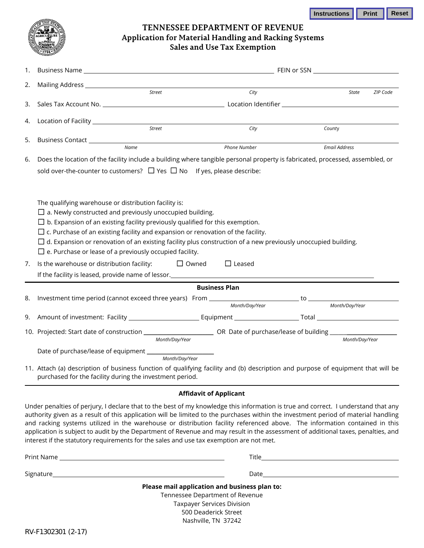| Instructions | <b>Print   Reset</b> |  |
|--------------|----------------------|--|
|              |                      |  |



## **TENNESSEE DEPARTMENT OF REVENUE Application for Material Handling and Racking Systems Sales and Use Tax Exemption**

| 1.                                                                                      |                                                                                                                                  |                               | FEIN or SSN <u>________________________________</u> |  |                      |          |  |  |  |
|-----------------------------------------------------------------------------------------|----------------------------------------------------------------------------------------------------------------------------------|-------------------------------|-----------------------------------------------------|--|----------------------|----------|--|--|--|
| 2.                                                                                      |                                                                                                                                  |                               |                                                     |  |                      |          |  |  |  |
|                                                                                         | Street                                                                                                                           |                               | City                                                |  | <b>State</b>         | ZIP Code |  |  |  |
| 3.                                                                                      |                                                                                                                                  |                               |                                                     |  |                      |          |  |  |  |
| 4.                                                                                      |                                                                                                                                  |                               |                                                     |  |                      |          |  |  |  |
|                                                                                         | Street                                                                                                                           |                               | City                                                |  | County               |          |  |  |  |
| 5.                                                                                      |                                                                                                                                  |                               |                                                     |  |                      |          |  |  |  |
|                                                                                         | Name                                                                                                                             |                               | <b>Phone Number</b>                                 |  | <b>Email Address</b> |          |  |  |  |
| 6.                                                                                      | Does the location of the facility include a building where tangible personal property is fabricated, processed, assembled, or    |                               |                                                     |  |                      |          |  |  |  |
|                                                                                         | sold over-the-counter to customers? $\Box$ Yes $\Box$ No If yes, please describe:                                                |                               |                                                     |  |                      |          |  |  |  |
|                                                                                         |                                                                                                                                  |                               |                                                     |  |                      |          |  |  |  |
|                                                                                         |                                                                                                                                  |                               |                                                     |  |                      |          |  |  |  |
|                                                                                         | The qualifying warehouse or distribution facility is:                                                                            |                               |                                                     |  |                      |          |  |  |  |
|                                                                                         | $\Box$ a. Newly constructed and previously unoccupied building.                                                                  |                               |                                                     |  |                      |          |  |  |  |
|                                                                                         | $\Box$ b. Expansion of an existing facility previously qualified for this exemption.                                             |                               |                                                     |  |                      |          |  |  |  |
| $\Box$ c. Purchase of an existing facility and expansion or renovation of the facility. |                                                                                                                                  |                               |                                                     |  |                      |          |  |  |  |
|                                                                                         | $\Box$ d. Expansion or renovation of an existing facility plus construction of a new previously unoccupied building.             |                               |                                                     |  |                      |          |  |  |  |
|                                                                                         | $\square$ e. Purchase or lease of a previously occupied facility.                                                                |                               |                                                     |  |                      |          |  |  |  |
| 7.                                                                                      | Is the warehouse or distribution facility:                                                                                       | $\Box$ Owned                  | $\Box$ Leased                                       |  |                      |          |  |  |  |
|                                                                                         |                                                                                                                                  |                               |                                                     |  |                      |          |  |  |  |
|                                                                                         |                                                                                                                                  |                               | <b>Business Plan</b>                                |  |                      |          |  |  |  |
| 8.                                                                                      | Investment time period (cannot exceed three years) From Month/Day/Year to Month/Day/Year Month/Day/Year                          |                               |                                                     |  |                      |          |  |  |  |
|                                                                                         |                                                                                                                                  |                               |                                                     |  |                      |          |  |  |  |
| 9.                                                                                      |                                                                                                                                  |                               |                                                     |  |                      |          |  |  |  |
|                                                                                         |                                                                                                                                  |                               |                                                     |  |                      |          |  |  |  |
|                                                                                         |                                                                                                                                  | Month/Day/Year                |                                                     |  | Month/Day/Year       |          |  |  |  |
|                                                                                         |                                                                                                                                  |                               |                                                     |  |                      |          |  |  |  |
|                                                                                         |                                                                                                                                  |                               |                                                     |  |                      |          |  |  |  |
|                                                                                         | 11. Attach (a) description of business function of qualifying facility and (b) description and purpose of equipment that will be |                               |                                                     |  |                      |          |  |  |  |
|                                                                                         | purchased for the facility during the investment period.                                                                         |                               |                                                     |  |                      |          |  |  |  |
|                                                                                         |                                                                                                                                  | <b>Affidavit of Applicant</b> |                                                     |  |                      |          |  |  |  |
|                                                                                         |                                                                                                                                  |                               |                                                     |  |                      |          |  |  |  |

Under penalties of perjury, I declare that to the best of my knowledge this information is true and correct. I understand that any authority given as a result of this application will be limited to the purchases within the investment period of material handling and racking systems utilized in the warehouse or distribution facility referenced above. The information contained in this application is subject to audit by the Department of Revenue and may result in the assessment of additional taxes, penalties, and interest if the statutory requirements for the sales and use tax exemption are not met.

|                                                                                  | <b>Title <i>Community Community Community Community</i></b>                                                                                                                                                                    |  |  |  |  |
|----------------------------------------------------------------------------------|--------------------------------------------------------------------------------------------------------------------------------------------------------------------------------------------------------------------------------|--|--|--|--|
|                                                                                  | Date and the contract of the contract of the contract of the contract of the contract of the contract of the contract of the contract of the contract of the contract of the contract of the contract of the contract of the c |  |  |  |  |
| Please mail application and business plan to:<br>Tennessee Department of Revenue |                                                                                                                                                                                                                                |  |  |  |  |
| Taxpayer Services Division<br>500 Deaderick Street                               |                                                                                                                                                                                                                                |  |  |  |  |
|                                                                                  |                                                                                                                                                                                                                                |  |  |  |  |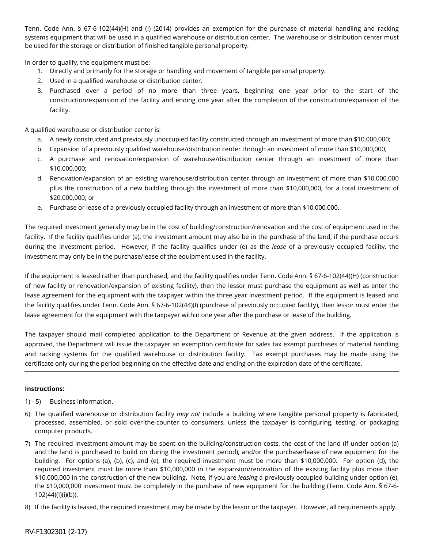Tenn. Code Ann. § 67-6-102(44)(H) and (I) (2014) provides an exemption for the purchase of material handling and racking systems equipment that will be used in a qualified warehouse or distribution center. The warehouse or distribution center must be used for the storage or distribution of finished tangible personal property.

In order to qualify, the equipment must be:

- 1. Directly and primarily for the storage or handling and movement of tangible personal property.
- 2. Used in a qualified warehouse or distribution center.
- 3. Purchased over a period of no more than three years, beginning one year prior to the start of the construction/expansion of the facility and ending one year after the completion of the construction/expansion of the facility.

A qualified warehouse or distribution center is:

- a. A newly constructed and previously unoccupied facility constructed through an investment of more than \$10,000,000;
- b. Expansion of a previously qualified warehouse/distribution center through an investment of more than \$10,000,000;
- c. A purchase and renovation/expansion of warehouse/distribution center through an investment of more than \$10,000,000;
- d. Renovation/expansion of an existing warehouse/distribution center through an investment of more than \$10,000,000 plus the construction of a new building through the investment of more than \$10,000,000, for a total investment of \$20,000,000; or
- e. Purchase or lease of a previously occupied facility through an investment of more than \$10,000,000.

The required investment generally may be in the cost of building/construction/renovation and the cost of equipment used in the facility. If the facility qualifies under (a), the investment amount may also be in the purchase of the land, if the purchase occurs during the investment period. However, if the facility qualifies under (e) as the *lease* of a previously occupied facility, the investment may only be in the purchase/lease of the equipment used in the facility.

If the equipment is leased rather than purchased, and the facility qualifies under Tenn. Code Ann. § 67-6-102(44)(H) (construction of new facility or renovation/expansion of existing facility), then the lessor must purchase the equipment as well as enter the lease agreement for the equipment with the taxpayer within the three year investment period. If the equipment is leased and the facility qualifies under Tenn. Code Ann. § 67-6-102(44)(I) (purchase of previously occupied facility), then lessor must enter the lease agreement for the equipment with the taxpayer within one year after the purchase or lease of the building.

The taxpayer should mail completed application to the Department of Revenue at the given address. If the application is approved, the Department will issue the taxpayer an exemption certificate for sales tax exempt purchases of material handling and racking systems for the qualified warehouse or distribution facility. Tax exempt purchases may be made using the certificate only during the period beginning on the effective date and ending on the expiration date of the certificate.

## **Instructions:**

- 1) 5) Business information.
- 6) The qualified warehouse or distribution facility *may not* include a building where tangible personal property is fabricated, processed, assembled, or sold over-the-counter to consumers, unless the taxpayer is configuring, testing, or packaging computer products.
- 7) The required investment amount may be spent on the building/construction costs, the cost of the land (if under option (a) and the land is purchased to build on during the investment period), and/or the purchase/lease of new equipment for the building. For options (a), (b), (c), and (e), the required investment must be more than \$10,000,000. For option (d), the required investment must be more than \$10,000,000 in the expansion/renovation of the existing facility plus more than \$10,000,000 in the construction of the new building. Note, if you are *leasing* a previously occupied building under option (e), the \$10,000,000 investment must be completely in the purchase of new equipment for the building (Tenn. Code Ann. § 67-6- 102(44)(I)(i)(b)).
- 8) If the facility is leased, the required investment may be made by the lessor or the taxpayer. However, all requirements apply.